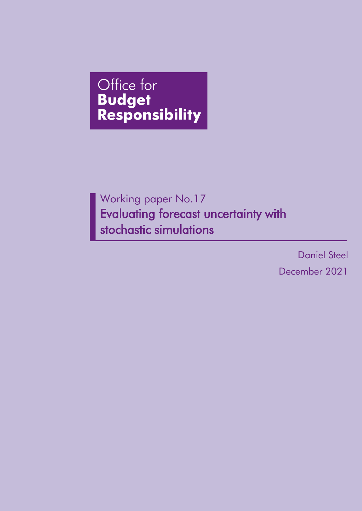# Office for **Budget Responsibility**

Working paper No.17 Evaluating forecast uncertainty with stochastic simulations

> Daniel Steel December 2021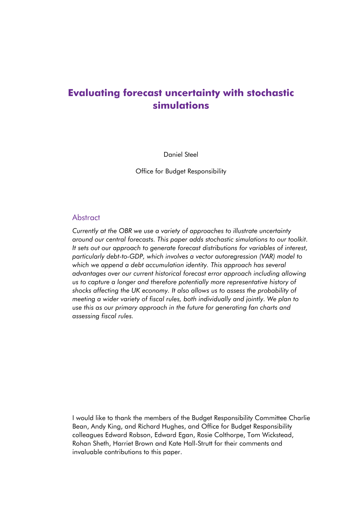## **Evaluating forecast uncertainty with stochastic simulations**

Daniel Steel

Office for Budget Responsibility

#### Abstract

*Currently at the OBR we use a variety of approaches to illustrate uncertainty around our central forecasts. This paper adds stochastic simulations to our toolkit. It sets out our approach to generate forecast distributions for variables of interest, particularly debt-to-GDP, which involves a vector autoregression (VAR) model to which we append a debt accumulation identity. This approach has several advantages over our current historical forecast error approach including allowing us to capture a longer and therefore potentially more representative history of shocks affecting the UK economy. It also allows us to assess the probability of meeting a wider variety of fiscal rules, both individually and jointly. We plan to use this as our primary approach in the future for generating fan charts and assessing fiscal rules.* 

I would like to thank the members of the Budget Responsibility Committee Charlie Bean, Andy King, and Richard Hughes, and Office for Budget Responsibility colleagues Edward Robson, Edward Egan, Rosie Colthorpe, Tom Wickstead, Rohan Sheth, Harriet Brown and Kate Hall-Strutt for their comments and invaluable contributions to this paper.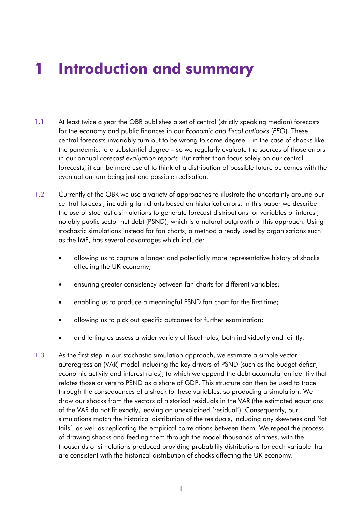# **1 Introduction and summary**

- 1.1 At least twice a year the OBR publishes a set of central (strictly speaking median) forecasts for the economy and public finances in our *Economic and fiscal outlooks* (*EFO*). These central forecasts invariably turn out to be wrong to some degree – in the case of shocks like the pandemic, to a substantial degree – so we regularly evaluate the sources of those errors in our annual *Forecast evaluation reports*. But rather than focus solely on our central forecasts, it can be more useful to think of a distribution of possible future outcomes with the eventual outturn being just one possible realisation.
- notably public sector net debt (PSND), which is a natural outgrowth of this approach. Using 1.2 Currently at the OBR we use a variety of approaches to illustrate the uncertainty around our central forecast, including fan charts based on historical errors. In this paper we describe the use of stochastic simulations to generate forecast distributions for variables of interest, stochastic simulations instead for fan charts, a method already used by organisations such as the IMF, has several advantages which include:
	- allowing us to capture a longer and potentially more representative history of shocks affecting the UK economy;
	- ensuring greater consistency between fan charts for different variables;
	- enabling us to produce a meaningful PSND fan chart for the first time;
	- allowing us to pick out specific outcomes for further examination;
	- and letting us assess a wider variety of fiscal rules, both individually and jointly.
- 1.3 As the first step in our stochastic simulation approach, we estimate a simple vector autoregression (VAR) model including the key drivers of PSND (such as the budget deficit, economic activity and interest rates), to which we append the debt accumulation identity that relates those drivers to PSND as a share of GDP. This structure can then be used to trace through the consequences of a shock to these variables, so producing a simulation. We draw our shocks from the vectors of historical residuals in the VAR (the estimated equations of the VAR do not fit exactly, leaving an unexplained 'residual'). Consequently, our simulations match the historical distribution of the residuals, including any skewness and 'fat tails', as well as replicating the empirical correlations between them. We repeat the process of drawing shocks and feeding them through the model thousands of times, with the thousands of simulations produced providing probability distributions for each variable that are consistent with the historical distribution of shocks affecting the UK economy.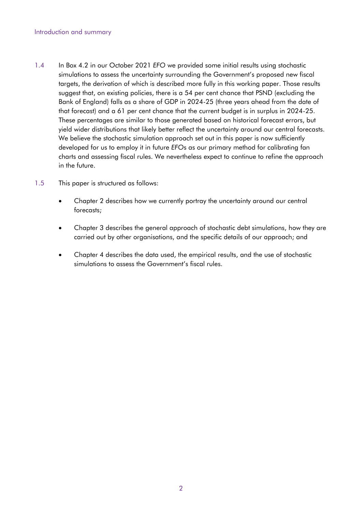- 1.4 In Box 4.2 in our October 2021 *EFO* we provided some initial results using stochastic simulations to assess the uncertainty surrounding the Government's proposed new fiscal targets, the derivation of which is described more fully in this working paper. Those results suggest that, on existing policies, there is a 54 per cent chance that PSND (excluding the Bank of England) falls as a share of GDP in 2024-25 (three years ahead from the date of that forecast) and a 61 per cent chance that the current budget is in surplus in 2024-25. These percentages are similar to those generated based on historical forecast errors, but yield wider distributions that likely better reflect the uncertainty around our central forecasts. We believe the stochastic simulation approach set out in this paper is now sufficiently developed for us to employ it in future *EFO*s as our primary method for calibrating fan charts and assessing fiscal rules. We nevertheless expect to continue to refine the approach in the future.
- 1.5 This paper is structured as follows:
	- Chapter 2 describes how we currently portray the uncertainty around our central forecasts;
	- Chapter 3 describes the general approach of stochastic debt simulations, how they are carried out by other organisations, and the specific details of our approach; and
	- Chapter 4 describes the data used, the empirical results, and the use of stochastic simulations to assess the Government's fiscal rules.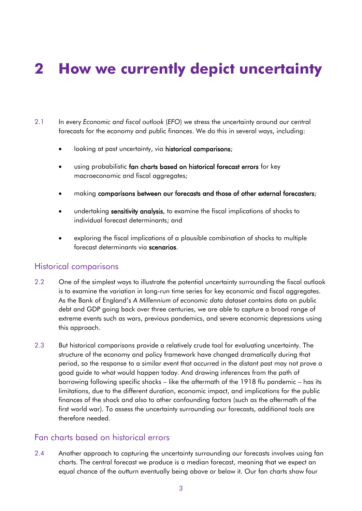# **2 How we currently depict uncertainty**

- 2.1 In every *Economic and fiscal outlook* (*EFO*) we stress the uncertainty around our central forecasts for the economy and public finances. We do this in several ways, including:
	- looking at past uncertainty, via historical comparisons;
	- using probabilistic fan charts based on historical forecast errors for key macroeconomic and fiscal aggregates;
	- making comparisons between our forecasts and those of other external forecasters;
	- undertaking sensitivity analysis, to examine the fiscal implications of shocks to individual forecast determinants; and
	- exploring the fiscal implications of a plausible combination of shocks to multiple forecast determinants via scenarios.

#### Historical comparisons

- 2.2 One of the simplest ways to illustrate the potential uncertainty surrounding the fiscal outlook is to examine the variation in long-run time series for key economic and fiscal aggregates. As the Bank of England's *A Millennium of economic data* dataset contains data on public debt and GDP going back over three centuries, we are able to capture a broad range of extreme events such as wars, previous pandemics, and severe economic depressions using this approach.
- 2.3 But historical comparisons provide a relatively crude tool for evaluating uncertainty. The structure of the economy and policy framework have changed dramatically during that period, so the response to a similar event that occurred in the distant past may not prove a good guide to what would happen today. And drawing inferences from the path of borrowing following specific shocks – like the aftermath of the 1918 flu pandemic – has its limitations, due to the different duration, economic impact, and implications for the public finances of the shock and also to other confounding factors (such as the aftermath of the first world war). To assess the uncertainty surrounding our forecasts, additional tools are therefore needed.

#### Fan charts based on historical errors

2.4 Another approach to capturing the uncertainty surrounding our forecasts involves using fan charts. The central forecast we produce is a median forecast, meaning that we expect an equal chance of the outturn eventually being above or below it. Our fan charts show four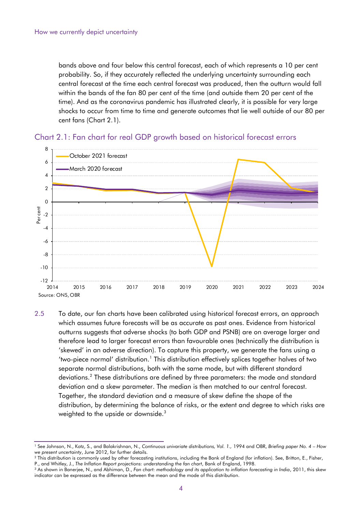bands above and four below this central forecast, each of which represents a 10 per cent probability. So, if they accurately reflected the underlying uncertainty surrounding each central forecast at the time each central forecast was produced, then the outturn would fall within the bands of the fan 80 per cent of the time (and outside them 20 per cent of the time). And as the coronavirus pandemic has illustrated clearly, it is possible for very large shocks to occur from time to time and generate outcomes that lie well outside of our 80 per cent fans (Chart 2.1).





 distribution, by determining the balance of risks, or the extent and degree to which risks are 2.5 To date, our fan charts have been calibrated using historical forecast errors, an approach which assumes future forecasts will be as accurate as past ones. Evidence from historical outturns suggests that adverse shocks (to both GDP and PSNB) are on average larger and therefore lead to larger forecast errors than favourable ones (technically the distribution is 'skewed' in an adverse direction). To capture this property, we generate the fans using a 'two-piece normal' distribution.<sup>1</sup> This distribution effectively splices together halves of two separate normal distributions, both with the same mode, but with different standard deviations.2 These distributions are defined by three parameters: the mode and standard deviation and a skew parameter. The median is then matched to our central forecast. Together, the standard deviation and a measure of skew define the shape of the weighted to the upside or downside.<sup>3</sup>

<sup>1</sup> See Johnson, N., Kotz, S., and Balakrishnan, N., *Continuous univariate distributions, Vol. 1.,* 1994 and OBR, *Briefing paper No. 4 – How* 

*we present uncertainty, June 2012, for further details.*<br><sup>2</sup> This distribution is commonly used by other forecasting institutions, including the Bank of England (for inflation). See, Britton, E., Fisher,

P., and Whitley, J., The Inflation Report projections: understanding the fan chart, Bank of England, 1998.<br><sup>3</sup> As shown in Banerjee, N., and Abhiman, D., Fan chart: methodology and its application to inflation forecasting indicator can be expressed as the difference between the mean and the mode of this distribution.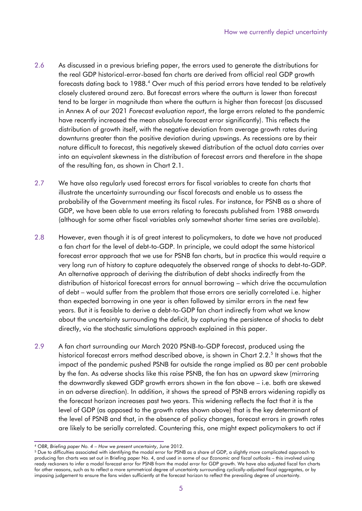- 2.6 As discussed in a previous briefing paper, the errors used to generate the distributions for the real GDP historical-error-based fan charts are derived from official real GDP growth forecasts dating back to 1988.<sup>4</sup> Over much of this period errors have tended to be relatively closely clustered around zero. But forecast errors where the outturn is lower than forecast tend to be larger in magnitude than where the outturn is higher than forecast (as discussed in Annex A of our 2021 *Forecast evaluation report*, the large errors related to the pandemic have recently increased the mean absolute forecast error significantly). This reflects the distribution of growth itself, with the negative deviation from average growth rates during downturns greater than the positive deviation during upswings. As recessions are by their nature difficult to forecast, this negatively skewed distribution of the actual data carries over into an equivalent skewness in the distribution of forecast errors and therefore in the shape of the resulting fan, as shown in Chart 2.1.
- 2.7 We have also regularly used forecast errors for fiscal variables to create fan charts that illustrate the uncertainty surrounding our fiscal forecasts and enable us to assess the probability of the Government meeting its fiscal rules. For instance, for PSNB as a share of GDP, we have been able to use errors relating to forecasts published from 1988 onwards (although for some other fiscal variables only somewhat shorter time series are available).
- 2.8 However, even though it is of great interest to policymakers, to date we have not produced a fan chart for the level of debt-to-GDP. In principle, we could adopt the same historical forecast error approach that we use for PSNB fan charts, but in practice this would require a very long run of history to capture adequately the observed range of shocks to debt-to-GDP. An alternative approach of deriving the distribution of debt shocks indirectly from the distribution of historical forecast errors for annual borrowing – which drive the accumulation of debt – would suffer from the problem that those errors are serially correlated i.e. higher than expected borrowing in one year is often followed by similar errors in the next few years. But it is feasible to derive a debt-to-GDP fan chart indirectly from what we know about the uncertainty surrounding the deficit, by capturing the persistence of shocks to debt directly, via the stochastic simulations approach explained in this paper.
- 2.9 A fan chart surrounding our March 2020 PSNB-to-GDP forecast, produced using the historical forecast errors method described above, is shown in Chart 2.2.<sup>5</sup> It shows that the impact of the pandemic pushed PSNB far outside the range implied as 80 per cent probable by the fan. As adverse shocks like this raise PSNB, the fan has an upward skew (mirroring the downwardly skewed GDP growth errors shown in the fan above – i.e. both are skewed in an adverse direction). In addition, it shows the spread of PSNB errors widening rapidly as the forecast horizon increases past two years. This widening reflects the fact that it is the level of GDP (as opposed to the growth rates shown above) that is the key determinant of the level of PSNB and that, in the absence of policy changes, forecast errors in growth rates are likely to be serially correlated. Countering this, one might expect policymakers to act if

 for other reasons, such as to reflect a more symmetrical degree of uncertainty surrounding cyclically-adjusted fiscal aggregates, or by imposing judgement to ensure the fans widen sufficiently at the forecast horizon to reflect the prevailing degree of uncertainty. <sup>4</sup> OBR, *Briefing paper No. 4 – How we present uncertainty, June 2012.<br><sup>5</sup> Due to difficulties associated with identifying the modal error for PSNB as a share of GDP, a slightly more complicated approach to* producing fan charts was set out in Briefing paper No. 4, and used in some of our *Economic and fiscal outlooks –* this involved using ready reckoners to infer a modal forecast error for PSNB from the modal error for GDP growth. We have also adjusted fiscal fan charts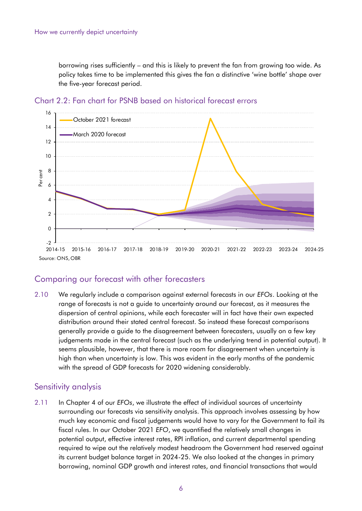borrowing rises sufficiently – and this is likely to prevent the fan from growing too wide. As policy takes time to be implemented this gives the fan a distinctive 'wine bottle' shape over the five-year forecast period.



Chart 2.2: Fan chart for PSNB based on historical forecast errors

### Comparing our forecast with other forecasters

2.10 We regularly include a comparison against external forecasts in our *EFOs*. Looking at the range of forecasts is not a guide to uncertainty around our forecast, as it measures the dispersion of central opinions, while each forecaster will in fact have their own expected distribution around their stated central forecast. So instead these forecast comparisons generally provide a guide to the disagreement between forecasters, usually on a few key judgements made in the central forecast (such as the underlying trend in potential output). It seems plausible, however, that there is more room for disagreement when uncertainty is high than when uncertainty is low. This was evident in the early months of the pandemic with the spread of GDP forecasts for 2020 widening considerably.

#### Sensitivity analysis

2.11 In Chapter 4 of our *EFOs*, we illustrate the effect of individual sources of uncertainty surrounding our forecasts via sensitivity analysis. This approach involves assessing by how much key economic and fiscal judgements would have to vary for the Government to fail its fiscal rules. In our October 2021 *EFO*, we quantified the relatively small changes in potential output, effective interest rates, RPI inflation, and current departmental spending required to wipe out the relatively modest headroom the Government had reserved against its current budget balance target in 2024-25. We also looked at the changes in primary borrowing, nominal GDP growth and interest rates, and financial transactions that would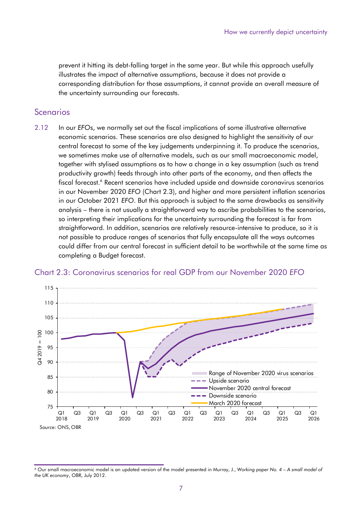prevent it hitting its debt-falling target in the same year. But while this approach usefully illustrates the impact of alternative assumptions, because it does not provide a corresponding distribution for those assumptions, it cannot provide an overall measure of the uncertainty surrounding our forecasts.

#### **Scenarios**

2.12 In our *EFO*s, we normally set out the fiscal implications of some illustrative alternative economic scenarios. These scenarios are also designed to highlight the sensitivity of our central forecast to some of the key judgements underpinning it. To produce the scenarios, we sometimes make use of alternative models, such as our small macroeconomic model, together with stylised assumptions as to how a change in a key assumption (such as trend productivity growth) feeds through into other parts of the economy, and then affects the fiscal forecast.<sup>6</sup> Recent scenarios have included upside and downside coronavirus scenarios in our November 2020 *EFO* (Chart 2.3), and higher and more persistent inflation scenarios in our October 2021 *EFO*. But this approach is subject to the same drawbacks as sensitivity analysis – there is not usually a straightforward way to ascribe probabilities to the scenarios, so interpreting their implications for the uncertainty surrounding the forecast is far from straightforward. In addition, scenarios are relatively resource-intensive to produce, so it is not possible to produce ranges of scenarios that fully encapsulate all the ways outcomes could differ from our central forecast in sufficient detail to be worthwhile at the same time as completing a Budget forecast.



#### Chart 2.3: Coronavirus scenarios for real GDP from our November 2020 *EFO*

<sup>6</sup> Our small macroeconomic model is an updated version of the model presented in Murray, J., *Working paper No. 4 – A small model of the UK economy*, OBR, July 2012.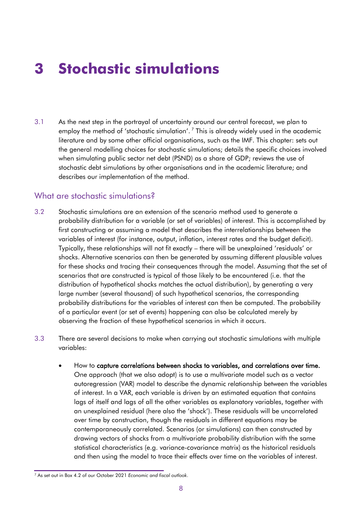# **3 Stochastic simulations**

 literature and by some other official organisations, such as the IMF. This chapter: sets out 3.1 As the next step in the portrayal of uncertainty around our central forecast, we plan to employ the method of 'stochastic simulation'.  $^7$  This is already widely used in the academic the general modelling choices for stochastic simulations; details the specific choices involved when simulating public sector net debt (PSND) as a share of GDP; reviews the use of stochastic debt simulations by other organisations and in the academic literature; and describes our implementation of the method.

#### What are stochastic simulations?

- 3.2 Stochastic simulations are an extension of the scenario method used to generate a probability distribution for a variable (or set of variables) of interest. This is accomplished by first constructing or assuming a model that describes the interrelationships between the variables of interest (for instance, output, inflation, interest rates and the budget deficit). Typically, these relationships will not fit exactly – there will be unexplained 'residuals' or shocks. Alternative scenarios can then be generated by assuming different plausible values for these shocks and tracing their consequences through the model. Assuming that the set of scenarios that are constructed is typical of those likely to be encountered (i.e. that the distribution of hypothetical shocks matches the actual distribution), by generating a very large number (several thousand) of such hypothetical scenarios, the corresponding probability distributions for the variables of interest can then be computed. The probability of a particular event (or set of events) happening can also be calculated merely by observing the fraction of these hypothetical scenarios in which it occurs.
- 3.3 There are several decisions to make when carrying out stochastic simulations with multiple variables:
	- How to capture correlations between shocks to variables, and correlations over time. One approach (that we also adopt) is to use a multivariate model such as a vector autoregression (VAR) model to describe the dynamic relationship between the variables of interest. In a VAR, each variable is driven by an estimated equation that contains lags of itself and lags of all the other variables as explanatory variables, together with an unexplained residual (here also the 'shock'). These residuals will be uncorrelated over time by construction, though the residuals in different equations may be contemporaneously correlated. Scenarios (or simulations) can then constructed by drawing vectors of shocks from a multivariate probability distribution with the same statistical characteristics (e.g. variance-covariance matrix) as the historical residuals and then using the model to trace their effects over time on the variables of interest.

<sup>7</sup> As set out in Box 4.2 of our October 2021 *Economic and fiscal outlook*.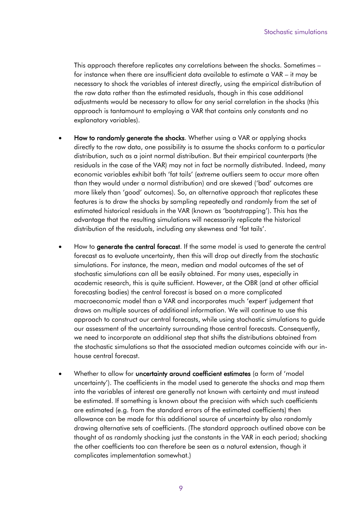This approach therefore replicates any correlations between the shocks. Sometimes – for instance when there are insufficient data available to estimate a VAR – it may be necessary to shock the variables of interest directly, using the empirical distribution of the raw data rather than the estimated residuals, though in this case additional adjustments would be necessary to allow for any serial correlation in the shocks (this approach is tantamount to employing a VAR that contains only constants and no explanatory variables).

- economic variables exhibit both 'fat tails' (extreme outliers seem to occur more often • How to randomly generate the shocks. Whether using a VAR or applying shocks directly to the raw data, one possibility is to assume the shocks conform to a particular distribution, such as a joint normal distribution. But their empirical counterparts (the residuals in the case of the VAR) may not in fact be normally distributed. Indeed, many than they would under a normal distribution) and are skewed ('bad' outcomes are more likely than 'good' outcomes). So, an alternative approach that replicates these features is to draw the shocks by sampling repeatedly and randomly from the set of estimated historical residuals in the VAR (known as 'bootstrapping'). This has the advantage that the resulting simulations will necessarily replicate the historical distribution of the residuals, including any skewness and 'fat tails'.
- academic research, this is quite sufficient. However, at the OBR (and at other official How to generate the central forecast. If the same model is used to generate the central forecast as to evaluate uncertainty, then this will drop out directly from the stochastic simulations. For instance, the mean, median and modal outcomes of the set of stochastic simulations can all be easily obtained. For many uses, especially in forecasting bodies) the central forecast is based on a more complicated macroeconomic model than a VAR and incorporates much 'expert' judgement that draws on multiple sources of additional information. We will continue to use this approach to construct our central forecasts, while using stochastic simulations to guide our assessment of the uncertainty surrounding those central forecasts. Consequently, we need to incorporate an additional step that shifts the distributions obtained from the stochastic simulations so that the associated median outcomes coincide with our inhouse central forecast.
- Whether to allow for **uncertainty around coefficient estimates** (a form of 'model uncertainty'). The coefficients in the model used to generate the shocks and map them into the variables of interest are generally not known with certainty and must instead be estimated. If something is known about the precision with which such coefficients are estimated (e.g. from the standard errors of the estimated coefficients) then allowance can be made for this additional source of uncertainty by also randomly drawing alternative sets of coefficients. (The standard approach outlined above can be thought of as randomly shocking just the constants in the VAR in each period; shocking the other coefficients too can therefore be seen as a natural extension, though it complicates implementation somewhat.)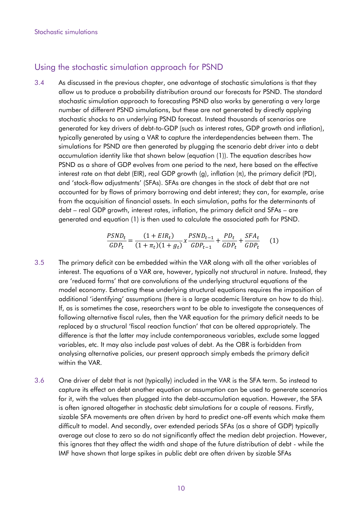#### Using the stochastic simulation approach for PSND

3.4 As discussed in the previous chapter, one advantage of stochastic simulations is that they allow us to produce a probability distribution around our forecasts for PSND. The standard stochastic simulation approach to forecasting PSND also works by generating a very large number of different PSND simulations, but these are not generated by directly applying stochastic shocks to an underlying PSND forecast. Instead thousands of scenarios are generated for key drivers of debt-to-GDP (such as interest rates, GDP growth and inflation), typically generated by using a VAR to capture the interdependencies between them. The simulations for PSND are then generated by plugging the scenario debt driver into a debt accumulation identity like that shown below (equation (1)). The equation describes how PSND as a share of GDP evolves from one period to the next, here based on the effective interest rate on that debt (EIR), real GDP growth (g), inflation (π), the primary deficit (PD), and 'stock-flow adjustments' (SFAs). SFAs are changes in the stock of debt that are not accounted for by flows of primary borrowing and debt interest; they can, for example, arise from the acquisition of financial assets. In each simulation, paths for the determinants of debt – real GDP growth, interest rates, inflation, the primary deficit and SFAs – are generated and equation (1) is then used to calculate the associated path for PSND.

$$
\frac{PSND_t}{GDP_t} = \frac{(1 + EIR_t)}{(1 + \pi_t)(1 + g_t)} \chi \frac{PSND_{t-1}}{GDP_{t-1}} + \frac{PD_t}{GDP_t} + \frac{SFA_t}{GDP_t} \tag{1}
$$

- 3.5 The primary deficit can be embedded within the VAR along with all the other variables of interest. The equations of a VAR are, however, typically not structural in nature. Instead, they are 'reduced forms' that are convolutions of the underlying structural equations of the model economy. Extracting these underlying structural equations requires the imposition of additional 'identifying' assumptions (there is a large academic literature on how to do this). If, as is sometimes the case, researchers want to be able to investigate the consequences of following alternative fiscal rules, then the VAR equation for the primary deficit needs to be replaced by a structural 'fiscal reaction function' that can be altered appropriately. The difference is that the latter may include contemporaneous variables, exclude some lagged variables, etc. It may also include past values of debt. As the OBR is forbidden from analysing alternative policies, our present approach simply embeds the primary deficit within the VAR.
- 3.6 One driver of debt that is not (typically) included in the VAR is the SFA term. So instead to capture its effect on debt another equation or assumption can be used to generate scenarios for it, with the values then plugged into the debt-accumulation equation. However, the SFA is often ignored altogether in stochastic debt simulations for a couple of reasons. Firstly, sizable SFA movements are often driven by hard to predict one-off events which make them difficult to model. And secondly, over extended periods SFAs (as a share of GDP) typically average out close to zero so do not significantly affect the median debt projection. However, this ignores that they affect the width and shape of the future distribution of debt - while the IMF have shown that large spikes in public debt are often driven by sizable SFAs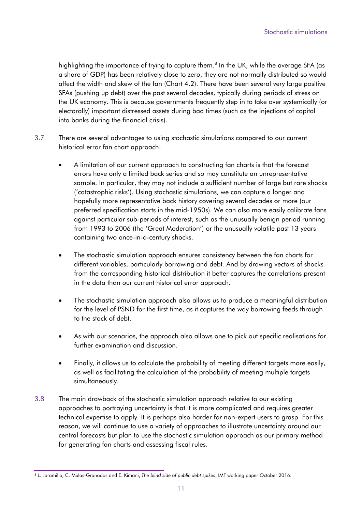highlighting the importance of trying to capture them.<sup>8</sup> In the UK, while the average SFA (as a share of GDP) has been relatively close to zero, they are not normally distributed so would affect the width and skew of the fan (Chart 4.2). There have been several very large positive SFAs (pushing up debt) over the past several decades, typically during periods of stress on the UK economy. This is because governments frequently step in to take over systemically (or electorally) important distressed assets during bad times (such as the injections of capital into banks during the financial crisis).

- 3.7 There are several advantages to using stochastic simulations compared to our current historical error fan chart approach:
	- A limitation of our current approach to constructing fan charts is that the forecast errors have only a limited back series and so may constitute an unrepresentative sample. In particular, they may not include a sufficient number of large but rare shocks ('catastrophic risks'). Using stochastic simulations, we can capture a longer and hopefully more representative back history covering several decades or more (our preferred specification starts in the mid-1950s). We can also more easily calibrate fans against particular sub-periods of interest, such as the unusually benign period running from 1993 to 2006 (the 'Great Moderation') or the unusually volatile past 13 years containing two once-in-a-century shocks.
	- The stochastic simulation approach ensures consistency between the fan charts for different variables, particularly borrowing and debt. And by drawing vectors of shocks from the corresponding historical distribution it better captures the correlations present in the data than our current historical error approach.
	- The stochastic simulation approach also allows us to produce a meaningful distribution for the level of PSND for the first time, as it captures the way borrowing feeds through to the stock of debt.
	- As with our scenarios, the approach also allows one to pick out specific realisations for further examination and discussion.
	- Finally, it allows us to calculate the probability of meeting different targets more easily, as well as facilitating the calculation of the probability of meeting multiple targets simultaneously.
- approaches to portraying uncertainty is that it is more complicated and requires greater 3.8 The main drawback of the stochastic simulation approach relative to our existing technical expertise to apply. It is perhaps also harder for non-expert users to grasp. For this reason, we will continue to use a variety of approaches to illustrate uncertainty around our central forecasts but plan to use the stochastic simulation approach as our primary method for generating fan charts and assessing fiscal rules.

<sup>8</sup> L. Jaramillo, C. Mulas-Granados and E. Kimani, *The blind side of public debt spikes*, IMF working paper October 2016.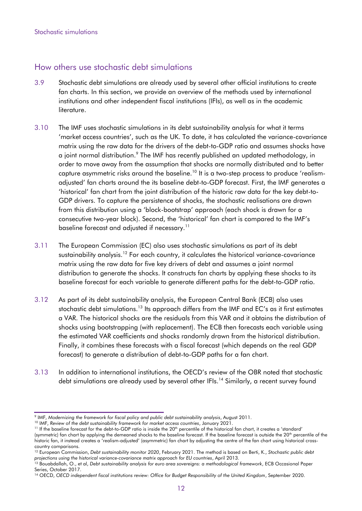### How others use stochastic debt simulations

- 3.9 Stochastic debt simulations are already used by several other official institutions to create fan charts. In this section, we provide an overview of the methods used by international institutions and other independent fiscal institutions (IFIs), as well as in the academic literature.
- 3.10 The IMF uses stochastic simulations in its debt sustainability analysis for what it terms 'market access countries', such as the UK. To date, it has calculated the variance-covariance matrix using the raw data for the drivers of the debt-to-GDP ratio and assumes shocks have a joint normal distribution.<sup>9</sup> The IMF has recently published an updated methodology, in order to move away from the assumption that shocks are normally distributed and to better capture asymmetric risks around the baseline.<sup>10</sup> It is a two-step process to produce 'realismadjusted' fan charts around the its baseline debt-to-GDP forecast. First, the IMF generates a 'historical' fan chart from the joint distribution of the historic raw data for the key debt-to-GDP drivers. To capture the persistence of shocks, the stochastic realisations are drawn from this distribution using a 'block-bootstrap' approach (each shock is drawn for a consecutive two-year block). Second, the 'historical' fan chart is compared to the IMF's baseline forecast and adjusted if necessary.<sup>11</sup>
- 3.11 The European Commission (EC) also uses stochastic simulations as part of its debt sustainability [analysis.](https://analysis.12)<sup>12</sup> For each country, it calculates the historical variance-covariance matrix using the raw data for five key drivers of debt and assumes a joint normal distribution to generate the shocks. It constructs fan charts by applying these shocks to its baseline forecast for each variable to generate different paths for the debt-to-GDP ratio.
- 3.12 As part of its debt sustainability analysis, the European Central Bank (ECB) also uses stochastic debt simulations.<sup>13</sup> Its approach differs from the IMF and EC's as it first estimates a VAR. The historical shocks are the residuals from this VAR and it obtains the distribution of shocks using bootstrapping (with replacement). The ECB then forecasts each variable using the estimated VAR coefficients and shocks randomly drawn from the historical distribution. Finally, it combines these forecasts with a fiscal forecast (which depends on the real GDP forecast) to generate a distribution of debt-to-GDP paths for a fan chart.
- 3.13 In addition to international institutions, the OECD's review of the OBR noted that stochastic debt simulations are already used by several other IFIs.<sup>14</sup> Similarly, a recent survey found

(symmetric) fan chart by applying the demeaned shocks to the baseline forecast. If the baseline forecast is outside the 20<sup>th</sup> percentile of the historic fan, it instead creates a 'realism-adjusted' (asymmetric) fan chart by adjusting the centre of the fan chart using historical crosscountry comparisons.

<sup>&</sup>lt;sup>9</sup> IMF, Modernizing the framework for fiscal policy and public debt sustainability analysis, August 2011.<br><sup>10</sup> IMF, Review of the debt sustainability framework for market access countries, January 2021.<br><sup>11</sup> If the basel

<sup>&</sup>lt;sup>10</sup> IMF, Review of the debt sustainability framework for market access countries, January 2021.

<sup>12</sup> European Commission, *Debt sustainability monitor 2020*, February 2021. The method is based on Berti, K., *Stochastic public debt*  projections using the historical variance-covariance matrix approach for EU countries, April 2013.<br><sup>13</sup> Bouabdallah, O., et al, Debt sustainability analysis for euro area sovereigns: a methodological framework, ECB Occasio

Series, October 2017.<br><sup>14</sup> OECD, OECD independent fiscal institutions review: Office for Budget Responsibility of the United Kingdom, September 2020.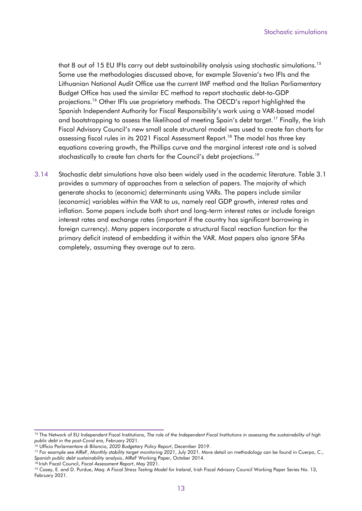that 8 out of 15 EU IFIs carry out debt sustainability analysis using stochastic simulations.<sup>15</sup> Some use the methodologies discussed above, for example Slovenia's two IFIs and the Lithuanian National Audit Office use the current IMF method and the Italian Parliamentary Budget Office has used the similar EC method to report stochastic debt-to-GDP [projections.16](https://projections.16) Other IFIs use proprietary methods. The OECD's report highlighted the Spanish Independent Authority for Fiscal Responsibility's work using a VAR-based model and bootstrapping to assess the likelihood of meeting Spain's debt [target.](https://target.17)<sup>17</sup> Finally, the Irish Fiscal Advisory Council's new small scale structural model was used to create fan charts for assessing fiscal rules in its 2021 Fiscal Assessment Report.<sup>18</sup> The model has three key equations covering growth, the Phillips curve and the marginal interest rate and is solved stochastically to create fan charts for the Council's debt [projections.](https://projections.19)<sup>19</sup>

3.14 Stochastic debt simulations have also been widely used in the academic literature. Table 3.1 provides a summary of approaches from a selection of papers. The majority of which generate shocks to (economic) determinants using VARs. The papers include similar (economic) variables within the VAR to us, namely real GDP growth, interest rates and inflation. Some papers include both short and long-term interest rates or include foreign interest rates and exchange rates (important if the country has significant borrowing in foreign currency). Many papers incorporate a structural fiscal reaction function for the primary deficit instead of embedding it within the VAR. Most papers also ignore SFAs completely, assuming they average out to zero.

<sup>&</sup>lt;sup>15</sup> The Network of EU Independent Fiscal Institutions, The role of the Independent Fiscal Institutions in assessing the sustainability of high public debt in the post-Covid era, February 2021.

<sup>&</sup>lt;sup>16</sup> Ufficio Parlamentare di Bilancio, 2020 Budgetary Policy Report, December 2019.<br><sup>17</sup> For example see AlReF, Monthly stability target monitoring 2021, July 2021. More detail on methodology can be found in Cuerpo, C., Spanish public debt sustainability analysis, AIReF Working Paper, October 2014.<br><sup>18</sup> Irish Fiscal Council, Fiscal Assessment Report, May 2021.<br><sup>19</sup> Casey, E. and D. Purdue, Maq: A Fiscal Stress Testing Model for Ireland, I

February 2021.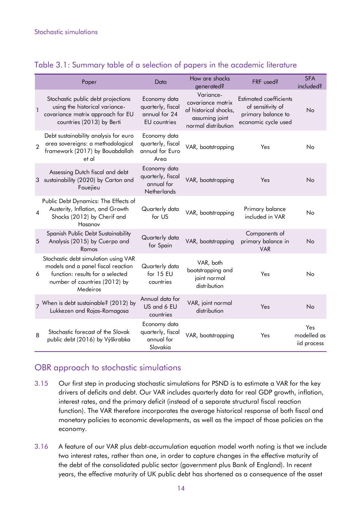#### Table 3.1: Summary table of a selection of papers in the academic literature

|                | Paper                                                                                                                                                       | Data                                                                      | How are shocks<br>generated?                                                                     | FRF used?                                                                                       | <b>SFA</b><br>included?           |
|----------------|-------------------------------------------------------------------------------------------------------------------------------------------------------------|---------------------------------------------------------------------------|--------------------------------------------------------------------------------------------------|-------------------------------------------------------------------------------------------------|-----------------------------------|
| 1              | Stochastic public debt projections<br>using the historical variance-<br>covariance matrix approach for EU<br>countries (2013) by Berti                      | Economy data<br>quarterly, fiscal<br>annual for 24<br><b>EU</b> countries | Variance-<br>covariance matrix<br>of historical shocks,<br>assuming joint<br>normal distribution | <b>Estimated coefficients</b><br>of sensitivity of<br>primary balance to<br>economic cycle used | No                                |
| $\overline{2}$ | Debt sustainability analysis for euro<br>area sovereigns: a methodological<br>framework (2017) by Bouabdallah<br>et al                                      | Economy data<br>quarterly, fiscal<br>annual for Euro<br>Area              | VAR, bootstrapping                                                                               | Yes                                                                                             | Nο                                |
| 3              | Assessing Dutch fiscal and debt<br>sustainability (2020) by Carton and<br>Fouejieu                                                                          | Economy data<br>quarterly, fiscal<br>annual for<br>Netherlands            | VAR, bootstrapping                                                                               | Yes                                                                                             | No                                |
| 4              | Public Debt Dynamics: The Effects of<br>Austerity, Inflation, and Growth<br>Shocks (2012) by Cherif and<br>Hasanov                                          | Quarterly data<br>for US                                                  | VAR, bootstrapping                                                                               | Primary balance<br>included in VAR                                                              | <b>No</b>                         |
| 5              | Spanish Public Debt Sustainability<br>Analysis (2015) by Cuerpo and<br>Ramos                                                                                | Quarterly data<br>for Spain                                               | VAR, bootstrapping                                                                               | Components of<br>primary balance in<br><b>VAR</b>                                               | No                                |
| 6              | Stochastic debt simulation using VAR<br>models and a panel fiscal reaction<br>function: results for a selected<br>number of countries (2012) by<br>Medeiros | Quarterly data<br>for 15 EU<br>countries                                  | VAR, both<br>bootstrapping and<br>joint normal<br>distribution                                   | Yes                                                                                             | No                                |
|                | y When is debt sustainable? (2012) by<br>Lukkezen and Rojas-Romagosa                                                                                        | Annual data for<br>US and 6 EU<br>countries                               | VAR, joint normal<br>distribution                                                                | Yes                                                                                             | No                                |
| 8              | Stochastic forecast of the Slovak<br>public debt (2016) by Výškrabka                                                                                        | Economy data<br>quarterly, fiscal<br>annual for<br>Slovakia               | VAR, bootstrapping                                                                               | Yes                                                                                             | Yes<br>modelled as<br>iid process |

## OBR approach to stochastic simulations

- 3.15 Our first step in producing stochastic simulations for PSND is to estimate a VAR for the key drivers of deficits and debt. Our VAR includes quarterly data for real GDP growth, inflation, interest rates, and the primary deficit (instead of a separate structural fiscal reaction function). The VAR therefore incorporates the average historical response of both fiscal and monetary policies to economic developments, as well as the impact of those policies on the economy.
- 3.16 A feature of our VAR plus debt-accumulation equation model worth noting is that we include two interest rates, rather than one, in order to capture changes in the effective maturity of the debt of the consolidated public sector (government plus Bank of England). In recent years, the effective maturity of UK public debt has shortened as a consequence of the asset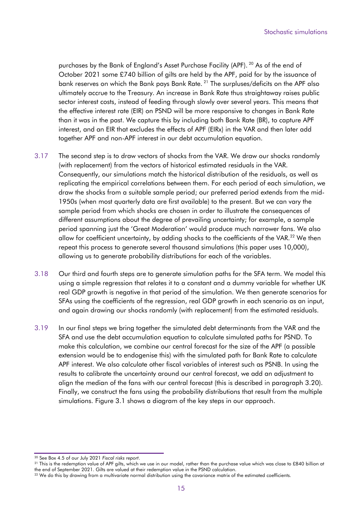purchases by the Bank of England's Asset Purchase Facility (APF).<sup>20</sup> As of the end of October 2021 some £740 billion of gilts are held by the APF, paid for by the issuance of bank reserves on which the Bank pays Bank Rate.<sup>21</sup> The surpluses/deficits on the APF also ultimately accrue to the Treasury. An increase in Bank Rate thus straightaway raises public sector interest costs, instead of feeding through slowly over several years. This means that the effective interest rate (EIR) on PSND will be more responsive to changes in Bank Rate than it was in the past. We capture this by including both Bank Rate (BR), to capture APF interest, and an EIR that excludes the effects of APF (EIRx) in the VAR and then later add together APF and non-APF interest in our debt accumulation equation.

- 3.17 The second step is to draw vectors of shocks from the VAR. We draw our shocks randomly (with replacement) from the vectors of historical estimated residuals in the VAR. Consequently, our simulations match the historical distribution of the residuals, as well as replicating the empirical correlations between them. For each period of each simulation, we draw the shocks from a suitable sample period; our preferred period extends from the mid-1950s (when most quarterly data are first available) to the present. But we can vary the sample period from which shocks are chosen in order to illustrate the consequences of different assumptions about the degree of prevailing uncertainty; for example, a sample period spanning just the 'Great Moderation' would produce much narrower fans. We also allow for coefficient uncertainty, by adding shocks to the coefficients of the VAR.<sup>22</sup> We then repeat this process to generate several thousand simulations (this paper uses 10,000), allowing us to generate probability distributions for each of the variables.
- 3.18 Our third and fourth steps are to generate simulation paths for the SFA term. We model this using a simple regression that relates it to a constant and a dummy variable for whether UK real GDP growth is negative in that period of the simulation. We then generate scenarios for SFAs using the coefficients of the regression, real GDP growth in each scenario as an input, and again drawing our shocks randomly (with replacement) from the estimated residuals.
- 3.19 In our final steps we bring together the simulated debt determinants from the VAR and the SFA and use the debt accumulation equation to calculate simulated paths for PSND. To make this calculation, we combine our central forecast for the size of the APF (a possible extension would be to endogenise this) with the simulated path for Bank Rate to calculate APF interest. We also calculate other fiscal variables of interest such as PSNB. In using the results to calibrate the uncertainty around our central forecast, we add an adjustment to align the median of the fans with our central forecast (this is described in paragraph 3.20). Finally, we construct the fans using the probability distributions that result from the multiple simulations. Figure 3.1 shows a diagram of the key steps in our approach.

<sup>&</sup>lt;sup>20</sup> See Box 4.5 of our July 2021 *Fiscal risks report.*<br><sup>21</sup> This is the redemption value of APF gilts, which we use in our model, rather than the purchase value which was close to £840 billion at the end of September 2021. Gilts are valued at their redemption value in the PSND calculation.

<sup>&</sup>lt;sup>22</sup> We do this by drawing from a multivariate normal distribution using the covariance matrix of the estimated coefficients.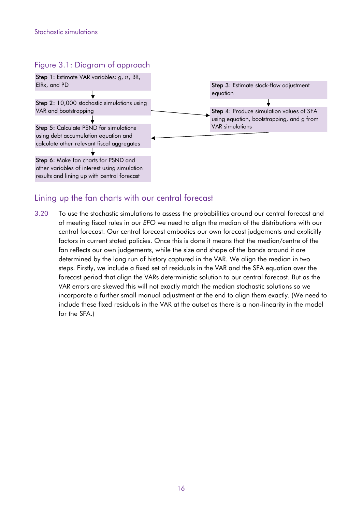#### Figure 3.1: Diagram of approach



### Lining up the fan charts with our central forecast

3.20 To use the stochastic simulations to assess the probabilities around our central forecast and of meeting fiscal rules in our *EFO* we need to align the median of the distributions with our central forecast. Our central forecast embodies our own forecast judgements and explicitly factors in current stated policies. Once this is done it means that the median/centre of the fan reflects our own judgements, while the size and shape of the bands around it are determined by the long run of history captured in the VAR. We align the median in two steps. Firstly, we include a fixed set of residuals in the VAR and the SFA equation over the forecast period that align the VARs deterministic solution to our central forecast. But as the VAR errors are skewed this will not exactly match the median stochastic solutions so we incorporate a further small manual adjustment at the end to align them exactly. (We need to include these fixed residuals in the VAR at the outset as there is a non-linearity in the model for the SFA.)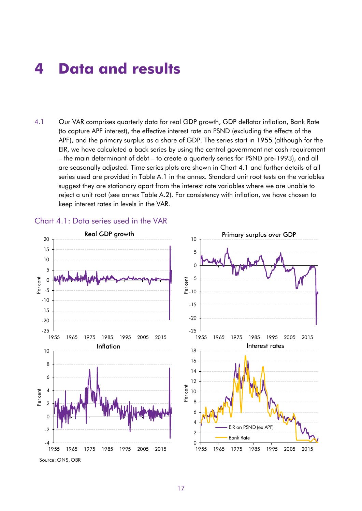## **4 Data and results**

 – the main determinant of debt – to create a quarterly series for PSND pre-1993), and all 4.1 Our VAR comprises quarterly data for real GDP growth, GDP deflator inflation, Bank Rate (to capture APF interest), the effective interest rate on PSND (excluding the effects of the APF), and the primary surplus as a share of GDP. The series start in 1955 (although for the EIR, we have calculated a back series by using the central government net cash requirement are seasonally adjusted. Time series plots are shown in Chart 4.1 and further details of all series used are provided in Table A.1 in the annex. Standard unit root tests on the variables suggest they are stationary apart from the interest rate variables where we are unable to reject a unit root (see annex Table A.2). For consistency with inflation, we have chosen to keep interest rates in levels in the VAR.



#### Chart 4.1: Data series used in the VAR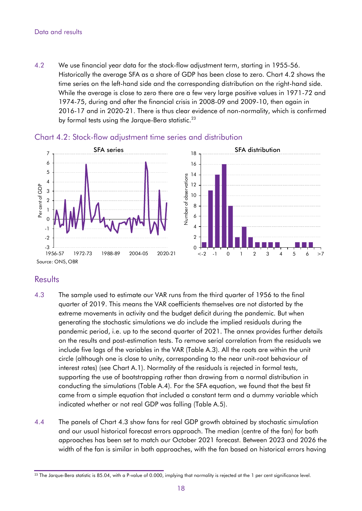#### Data and results

by formal tests using the Jarque-Bera statistic. $^{23}$ 4.2 We use financial year data for the stock-flow adjustment term, starting in 1955-56. Historically the average SFA as a share of GDP has been close to zero. Chart 4.2 shows the time series on the left-hand side and the corresponding distribution on the right-hand side. While the average is close to zero there are a few very large positive values in 1971-72 and 1974-75, during and after the financial crisis in 2008-09 and 2009-10, then again in 2016-17 and in 2020-21. There is thus clear evidence of non-normality, which is confirmed



#### Chart 4.2: Stock-flow adjustment time series and distribution

### **Results**

- 4.3 The sample used to estimate our VAR runs from the third quarter of 1956 to the final quarter of 2019. This means the VAR coefficients themselves are not distorted by the extreme movements in activity and the budget deficit during the pandemic. But when generating the stochastic simulations we *do* include the implied residuals during the pandemic period, i.e. up to the second quarter of 2021. The annex provides further details on the results and post-estimation tests. To remove serial correlation from the residuals we include five lags of the variables in the VAR (Table A.3). All the roots are within the unit circle (although one is close to unity, corresponding to the near unit-root behaviour of interest rates) (see Chart A.1). Normality of the residuals is rejected in formal tests, supporting the use of bootstrapping rather than drawing from a normal distribution in conducting the simulations (Table A.4). For the SFA equation, we found that the best fit came from a simple equation that included a constant term and a dummy variable which indicated whether or not real GDP was falling (Table A.5).
- 4.4 The panels of Chart 4.3 show fans for real GDP growth obtained by stochastic simulation and our usual historical forecast errors approach. The median (centre of the fan) for both approaches has been set to match our October 2021 forecast. Between 2023 and 2026 the width of the fan is similar in both approaches, with the fan based on historical errors having

<sup>&</sup>lt;sup>23</sup> The Jarque-Bera statistic is 85.04, with a P-value of 0.000, implying that normality is rejected at the 1 per cent significance level.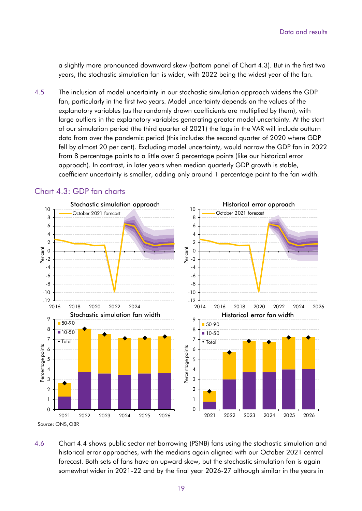a slightly more pronounced downward skew (bottom panel of Chart 4.3). But in the first two years, the stochastic simulation fan is wider, with 2022 being the widest year of the fan.

4.5 The inclusion of model uncertainty in our stochastic simulation approach widens the GDP fan, particularly in the first two years. Model uncertainty depends on the values of the explanatory variables (as the randomly drawn coefficients are multiplied by them), with large outliers in the explanatory variables generating greater model uncertainty. At the start of our simulation period (the third quarter of 2021) the lags in the VAR will include outturn data from over the pandemic period (this includes the second quarter of 2020 where GDP fell by almost 20 per cent). Excluding model uncertainty, would narrow the GDP fan in 2022 from 8 percentage points to a little over 5 percentage points (like our historical error approach). In contrast, in later years when median quarterly GDP growth is stable, coefficient uncertainty is smaller, adding only around 1 percentage point to the fan width.



#### Chart 4.3: GDP fan charts

4.6 Chart 4.4 shows public sector net borrowing (PSNB) fans using the stochastic simulation and historical error approaches, with the medians again aligned with our October 2021 central forecast. Both sets of fans have an upward skew, but the stochastic simulation fan is again somewhat wider in 2021-22 and by the final year 2026-27 although similar in the years in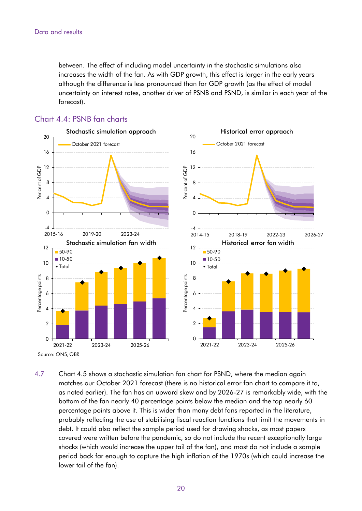between. The effect of including model uncertainty in the stochastic simulations also increases the width of the fan. As with GDP growth, this effect is larger in the early years although the difference is less pronounced than for GDP growth (as the effect of model uncertainty on interest rates, another driver of PSNB and PSND, is similar in each year of the forecast).



#### Chart 4.4: PSNB fan charts

4.7 Chart 4.5 shows a stochastic simulation fan chart for PSND, where the median again matches our October 2021 forecast (there is no historical error fan chart to compare it to, as noted earlier). The fan has an upward skew and by 2026-27 is remarkably wide, with the bottom of the fan nearly 40 percentage points below the median and the top nearly 60 percentage points above it. This is wider than many debt fans reported in the literature, probably reflecting the use of stabilising fiscal reaction functions that limit the movements in debt. It could also reflect the sample period used for drawing shocks, as most papers covered were written before the pandemic, so do not include the recent exceptionally large shocks (which would increase the upper tail of the fan), and most do not include a sample period back far enough to capture the high inflation of the 1970s (which could increase the lower tail of the fan).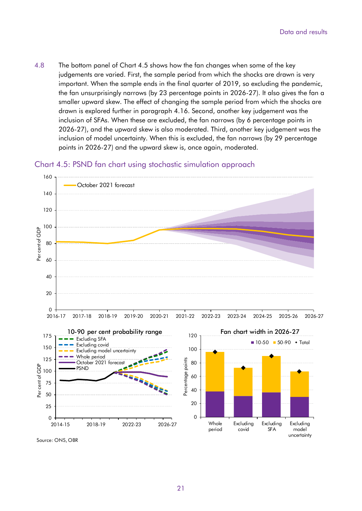4.8 The bottom panel of Chart 4.5 shows how the fan changes when some of the key judgements are varied. First, the sample period from which the shocks are drawn is very important. When the sample ends in the final quarter of 2019, so excluding the pandemic, the fan unsurprisingly narrows (by 23 percentage points in 2026-27). It also gives the fan a smaller upward skew. The effect of changing the sample period from which the shocks are drawn is explored further in paragraph 4.16. Second, another key judgement was the inclusion of SFAs. When these are excluded, the fan narrows (by 6 percentage points in 2026-27), and the upward skew is also moderated. Third, another key judgement was the inclusion of model uncertainty. When this is excluded, the fan narrows (by 29 percentage points in 2026-27) and the upward skew is, once again, moderated.





Source: ONS, OBR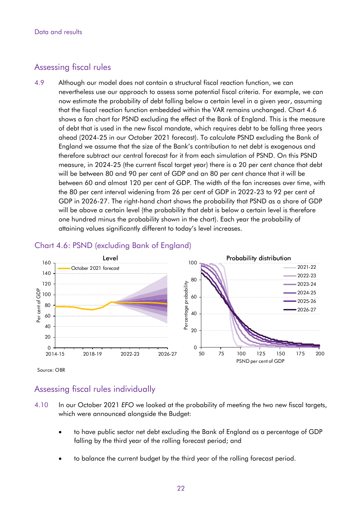### Assessing fiscal rules

4.9 Although our model does not contain a structural fiscal reaction function, we can nevertheless use our approach to assess some potential fiscal criteria. For example, we can now estimate the probability of debt falling below a certain level in a given year, assuming that the fiscal reaction function embedded within the VAR remains unchanged. Chart 4.6 shows a fan chart for PSND excluding the effect of the Bank of England. This is the measure of debt that is used in the new fiscal mandate, which requires debt to be falling three years ahead (2024-25 in our October 2021 forecast). To calculate PSND excluding the Bank of England we assume that the size of the Bank's contribution to net debt is exogenous and therefore subtract our central forecast for it from each simulation of PSND. On this PSND measure, in 2024-25 (the current fiscal target year) there is a 20 per cent chance that debt will be between 80 and 90 per cent of GDP and an 80 per cent chance that it will be between 60 and almost 120 per cent of GDP. The width of the fan increases over time, with the 80 per cent interval widening from 26 per cent of GDP in 2022-23 to 92 per cent of GDP in 2026-27. The right-hand chart shows the probability that PSND as a share of GDP will be above a certain level (the probability that debt is below a certain level is therefore one hundred minus the probability shown in the chart). Each year the probability of attaining values significantly different to today's level increases.



#### Chart 4.6: PSND (excluding Bank of England)

#### Source: OBR

## Assessing fiscal rules individually

- 4.10 In our October 2021 *EFO* we looked at the probability of meeting the two new fiscal targets, which were announced alongside the Budget:
	- to have public sector net debt excluding the Bank of England as a percentage of GDP falling by the third year of the rolling forecast period; and
	- to balance the current budget by the third year of the rolling forecast period.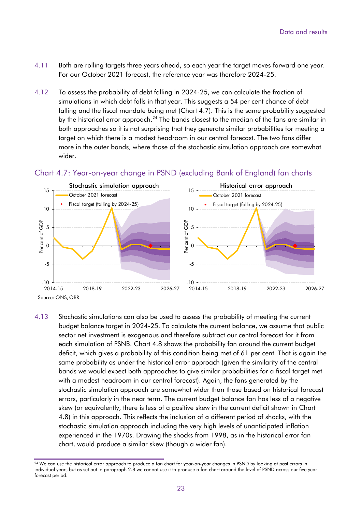- 4.11 Both are rolling targets three years ahead, so each year the target moves forward one year. For our October 2021 forecast, the reference year was therefore 2024-25.
- 4.12 To assess the probability of debt falling in 2024-25, we can calculate the fraction of simulations in which debt falls in that year. This suggests a 54 per cent chance of debt falling and the fiscal mandate being met (Chart 4.7). This is the same probability suggested by the historical error approach.<sup>24</sup> The bands closest to the median of the fans are similar in both approaches so it is not surprising that they generate similar probabilities for meeting a target on which there is a modest headroom in our central forecast. The two fans differ more in the outer bands, where those of the stochastic simulation approach are somewhat wider.



### Chart 4.7: Year-on-year change in PSND (excluding Bank of England) fan charts

4.13 Stochastic simulations can also be used to assess the probability of meeting the current budget balance target in 2024-25. To calculate the current balance, we assume that public sector net investment is exogenous and therefore subtract our central forecast for it from each simulation of PSNB. Chart 4.8 shows the probability fan around the current budget deficit, which gives a probability of this condition being met of 61 per cent. That is again the same probability as under the historical error approach (given the similarity of the central bands we would expect both approaches to give similar probabilities for a fiscal target met with a modest headroom in our central forecast). Again, the fans generated by the stochastic simulation approach are somewhat wider than those based on historical forecast errors, particularly in the near term. The current budget balance fan has less of a negative skew (or equivalently, there is less of a positive skew in the current deficit shown in Chart 4.8) in this approach. This reflects the inclusion of a different period of shocks, with the stochastic simulation approach including the very high levels of unanticipated inflation experienced in the 1970s. Drawing the shocks from 1998, as in the historical error fan chart, would produce a similar skew (though a wider fan).

<sup>&</sup>lt;sup>24</sup> We can use the historical error approach to produce a fan chart for year-on-year changes in PSND by looking at past errors in individual years but as set out in paragraph 2.8 we cannot use it to produce a fan chart around the level of PSND across our five year forecast period.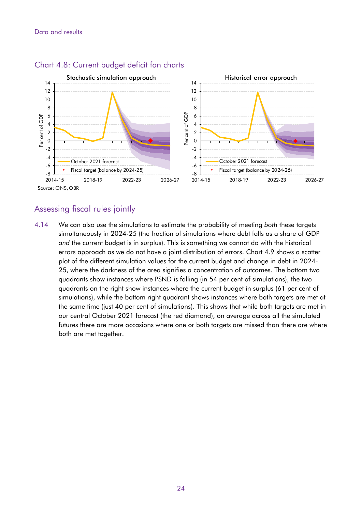

#### Chart 4.8: Current budget deficit fan charts

### Assessing fiscal rules jointly

4.14 We can also use the simulations to estimate the probability of meeting *both* these targets simultaneously in 2024-25 (the fraction of simulations where debt falls as a share of GDP *and* the current budget is in surplus). This is something we cannot do with the historical errors approach as we do not have a joint distribution of errors. Chart 4.9 shows a scatter plot of the different simulation values for the current budget and change in debt in 2024- 25, where the darkness of the area signifies a concentration of outcomes. The bottom two quadrants show instances where PSND is falling (in 54 per cent of simulations), the two quadrants on the right show instances where the current budget in surplus (61 per cent of simulations), while the bottom right quadrant shows instances where both targets are met at the same time (just 40 per cent of simulations). This shows that while both targets are met in our central October 2021 forecast (the red diamond), on average across all the simulated futures there are more occasions where one or both targets are missed than there are where both are met together.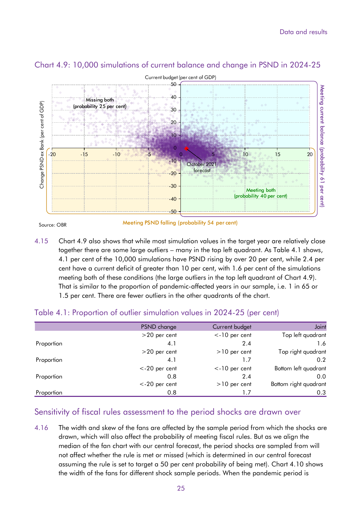

## Chart 4.9: 10,000 simulations of current balance and change in PSND in 2024-25

Source: OBR

Meeting PSND falling (probability 54 per cent)

4.15 Chart 4.9 also shows that while most simulation values in the target year are relatively close together there are some large outliers – many in the top left quadrant. As Table 4.1 shows, 4.1 per cent of the 10,000 simulations have PSND rising by over 20 per cent, while 2.4 per cent have a current deficit of greater than 10 per cent, with 1.6 per cent of the simulations meeting both of these conditions (the large outliers in the top left quadrant of Chart 4.9). That is similar to the proportion of pandemic-affected years in our sample, i.e. 1 in 65 or 1.5 per cent. There are fewer outliers in the other quadrants of the chart.

|            | PSND change      | Current budget   | Joint                 |
|------------|------------------|------------------|-----------------------|
|            | $>20$ per cent   | $<$ -10 per cent | Top left quadrant     |
| Proportion | 4.1              | 2.4              | 1.6                   |
|            | $>20$ per cent   | $>10$ per cent   | Top right quadrant    |
| Proportion | 4.1              | 1.7              | $0.2^{\circ}$         |
|            | $<$ -20 per cent | $<$ -10 per cent | Bottom left quadrant  |
| Proportion | 0.8              | 2.4              | 0.0                   |
|            | $<$ -20 per cent | $>10$ per cent   | Bottom right quadrant |
| Proportion | 0.8              |                  | 0.3                   |

### Table 4.1: Proportion of outlier simulation values in 2024-25 (per cent)

### Sensitivity of fiscal rules assessment to the period shocks are drawn over

4.16 The width and skew of the fans are affected by the sample period from which the shocks are drawn, which will also affect the probability of meeting fiscal rules. But as we align the median of the fan chart with our central forecast, the period shocks are sampled from will not affect whether the rule is met or missed (which is determined in our central forecast assuming the rule is set to target a 50 per cent probability of being met). Chart 4.10 shows the width of the fans for different shock sample periods. When the pandemic period is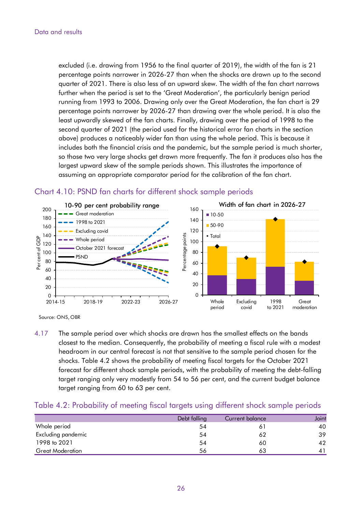excluded (i.e. drawing from 1956 to the final quarter of 2019), the width of the fan is 21 percentage points narrower in 2026-27 than when the shocks are drawn up to the second quarter of 2021. There is also less of an upward skew. The width of the fan chart narrows further when the period is set to the 'Great Moderation', the particularly benign period running from 1993 to 2006. Drawing only over the Great Moderation, the fan chart is 29 percentage points narrower by 2026-27 than drawing over the whole period. It is also the least upwardly skewed of the fan charts. Finally, drawing over the period of 1998 to the second quarter of 2021 (the period used for the historical error fan charts in the section above) produces a noticeably wider fan than using the whole period. This is because it includes both the financial crisis and the pandemic, but the sample period is much shorter, so those two very large shocks get drawn more frequently. The fan it produces also has the largest upward skew of the sample periods shown. This illustrates the importance of assuming an appropriate comparator period for the calibration of the fan chart.



#### Chart 4.10: PSND fan charts for different shock sample periods

4.17 The sample period over which shocks are drawn has the smallest effects on the bands closest to the median. Consequently, the probability of meeting a fiscal rule with a modest headroom in our central forecast is not that sensitive to the sample period chosen for the shocks. Table 4.2 shows the probability of meeting fiscal targets for the October 2021 forecast for different shock sample periods, with the probability of meeting the debt-falling target ranging only very modestly from 54 to 56 per cent, and the current budget balance target ranging from 60 to 63 per cent.

#### Table 4.2: Probability of meeting fiscal targets using different shock sample periods

|                         | Debt falling | Current balance | Joint |
|-------------------------|--------------|-----------------|-------|
| Whole period            | 54           |                 | 40    |
| Excluding pandemic      | 54           | 62              | 39    |
| 1998 to 2021            | 54           | 60              | 42    |
| <b>Great Moderation</b> | 56           | 63              |       |

Source: ONS, OBR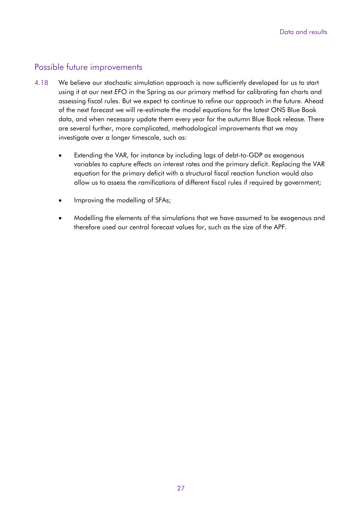#### Possible future improvements

- investigate over a longer timescale, such as: 4.18 We believe our stochastic simulation approach is now sufficiently developed for us to start using it at our next *EFO* in the Spring as our primary method for calibrating fan charts and assessing fiscal rules. But we expect to continue to refine our approach in the future. Ahead of the next forecast we will re-estimate the model equations for the latest ONS Blue Book data, and when necessary update them every year for the autumn Blue Book release. There are several further, more complicated, methodological improvements that we may
	- Extending the VAR, for instance by including lags of debt-to-GDP as exogenous variables to capture effects on interest rates and the primary deficit. Replacing the VAR equation for the primary deficit with a structural fiscal reaction function would also allow us to assess the ramifications of different fiscal rules if required by government;
	- Improving the modelling of SFAs;
	- Modelling the elements of the simulations that we have assumed to be exogenous and therefore used our central forecast values for, such as the size of the APF.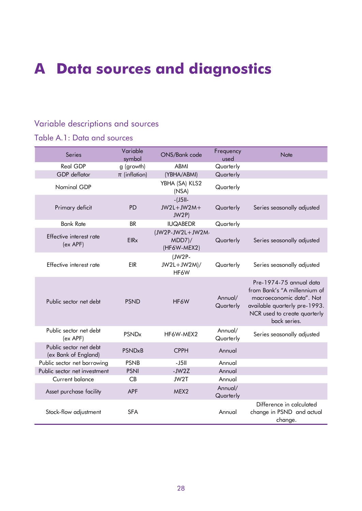# **A Data sources and diagnostics**

## Variable descriptions and sources

## Table A.1: Data and sources

| <b>Series</b>                                  | Variable<br>symbol       | ONS/Bank code                                | Frequency<br>used    | <b>Note</b>                                                                                                                                                          |
|------------------------------------------------|--------------------------|----------------------------------------------|----------------------|----------------------------------------------------------------------------------------------------------------------------------------------------------------------|
| <b>Real GDP</b>                                | g (growth)               | <b>ABMI</b>                                  | Quarterly            |                                                                                                                                                                      |
| <b>GDP</b> deflator                            | $\pi$ (inflation)        | (YBHA/ABMI)                                  | Quarterly            |                                                                                                                                                                      |
| Nominal GDP                                    |                          | YBHA (SA) KLS2<br>(NSA)                      | Quarterly            |                                                                                                                                                                      |
| Primary deficit                                | <b>PD</b>                | $-15$ ll-<br>$JW2L+JW2M+$<br>JW2P            | Quarterly            | Series seasonally adjusted                                                                                                                                           |
| <b>Bank Rate</b>                               | <b>BR</b>                | <b>IUQABEDR</b>                              | Quarterly            |                                                                                                                                                                      |
| Effective interest rate<br>$(ex$ APF $)$       | <b>EIR<sub>x</sub></b>   | (JW2P-JW2L+JW2M-<br>$MDD7$ )/<br>(HF6W-MEX2) | Quarterly            | Series seasonally adjusted                                                                                                                                           |
| Effective interest rate                        | EIR                      | $JW2P-$<br>$JW2L+JW2M)/$<br>HF6W             | Quarterly            | Series seasonally adjusted                                                                                                                                           |
| Public sector net debt                         | <b>PSND</b>              | HF6W                                         | Annual/<br>Quarterly | Pre-1974-75 annual data<br>from Bank's "A millennium of<br>macroeconomic data". Not<br>available quarterly pre-1993.<br>NCR used to create quarterly<br>back series. |
| Public sector net debt<br>$(ex$ APF $)$        | <b>PSND<sub>x</sub></b>  | HF6W-MEX2                                    | Annual/<br>Quarterly | Series seasonally adjusted                                                                                                                                           |
| Public sector net debt<br>(ex Bank of England) | <b>PSND<sub>x</sub>B</b> | <b>CPPH</b>                                  | Annual               |                                                                                                                                                                      |
| Public sector net borrowing                    | <b>PSNB</b>              | $-J5II$                                      | Annual               |                                                                                                                                                                      |
| Public sector net investment                   | <b>PSNI</b>              | $-JW2Z$                                      | Annual               |                                                                                                                                                                      |
| <b>Current balance</b>                         | CB                       | JW2T                                         | Annual               |                                                                                                                                                                      |
| Asset purchase facility                        | <b>APF</b>               | MEX2                                         | Annual/<br>Quarterly |                                                                                                                                                                      |
| Stock-flow adjustment                          | <b>SFA</b>               |                                              | Annual               | Difference in calculated<br>change in PSND and actual<br>change.                                                                                                     |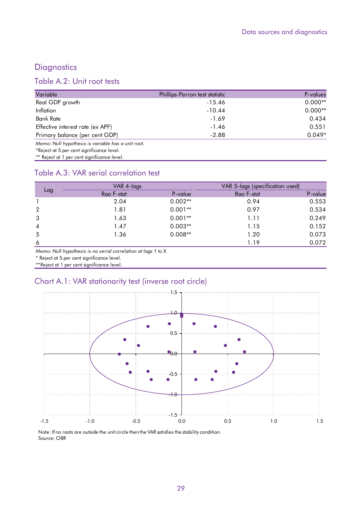## **Diagnostics**

## Table A.2: Unit root tests

| Variable                                          | Phillips-Perron test statistic | P-values  |
|---------------------------------------------------|--------------------------------|-----------|
| Real GDP growth                                   | $-15.46$                       | $0.000**$ |
| Inflation                                         | $-10.44$                       | $0.000**$ |
| Bank Rate                                         | $-1.69$                        | 0.434     |
| Effective interest rate (ex APF)                  | $-1.46$                        | 0.551     |
| Primary balance (per cent GDP)                    | $-2.88$                        | $0.049*$  |
| Memo: Null hypothesis is variable has a unit root |                                |           |

*Memo: Null hypothesis is variable has a unit root.* 

\*Reject at 5 per cent significance level.

\*\* Reject at 1 per cent significance level.

### Table A.3: VAR serial correlation test

|                | VAR 4-lags |           | VAR 5-lags (specification used) |         |
|----------------|------------|-----------|---------------------------------|---------|
| Lag            | Rao F-stat | P-value   | Rao F-stat                      | P-value |
|                | 2.04       | $0.002**$ | 0.94                            | 0.553   |
| $\overline{2}$ | 1.81       | $0.001**$ | 0.97                            | 0.534   |
| 3              | 1.63       | $0.001**$ | 1.11                            | 0.249   |
| $\overline{4}$ | 1.47       | $0.003**$ | 1.15                            | 0.152   |
| 5              | 1.36       | $0.008**$ | 1.20                            | 0.073   |
| 6              |            |           | 1.19                            | 0.072   |

*Memo: Null hypothesis is no serial correlation at lags 1 to X.* 

\* Reject at 5 per cent significance level.

\*\*Reject at 1 per cent significance level.

### Chart A.1: VAR stationarity test (inverse root circle)



Note: If no roots are outside the unit circle then the VAR satisfies the stability condition. Source: OBR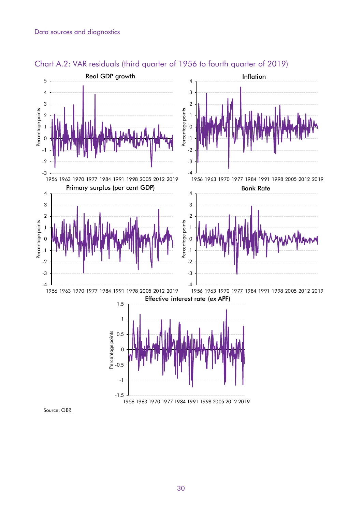

Chart A.2: VAR residuals (third quarter of 1956 to fourth quarter of 2019)

30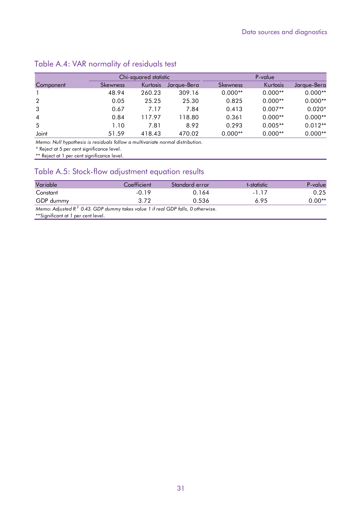## Table A.4: VAR normality of residuals test

|                | Chi-squared statistic |          | P-value     |                 |           |             |
|----------------|-----------------------|----------|-------------|-----------------|-----------|-------------|
| Component      | <b>Skewness</b>       | Kurtosis | Jaraue-Bera | <b>Skewness</b> | Kurtosis  | Jarque-Bera |
|                | 48.94                 | 260.23   | 309.16      | $0.000**$       | $0.000**$ | $0.000**$   |
| 2              | 0.05                  | 25.25    | 25.30       | 0.825           | $0.000**$ | $0.000**$   |
| 3              | 0.67                  | 7.17     | 7.84        | 0.413           | $0.007**$ | $0.020*$    |
| $\overline{4}$ | 0.84                  | 117.97   | 118.80      | 0.361           | $0.000**$ | $0.000**$   |
| 5              | 1.10                  | 7.81     | 8.92        | 0.293           | $0.005**$ | $0.012**$   |
| Joint          | 51.59                 | 418.43   | 470.02      | $0.000**$       | $0.000**$ | $0.000**$   |

*Memo: Null hypothesis is residuals follow a multivariate normal distribution.* 

\* Reject at 5 per cent significance level.

\*\* Reject at 1 per cent significance level.

## Table A.5: Stock-flow adjustment equation results

| Variable                                                                           | Coefficient | Standard error | t-statistic | P-value  |  |  |  |
|------------------------------------------------------------------------------------|-------------|----------------|-------------|----------|--|--|--|
| Constant                                                                           | -0.19       | 0.164          | -117        | 0.25     |  |  |  |
| GDP dummy                                                                          | 3.72        | 0.536          | 6.95        | $0.00**$ |  |  |  |
| Memo: Adjusted $R^2$ 0.43. GDP dummy takes value 1 if real GDP falls, 0 otherwise. |             |                |             |          |  |  |  |

\*\*Significant at 1 per cent level.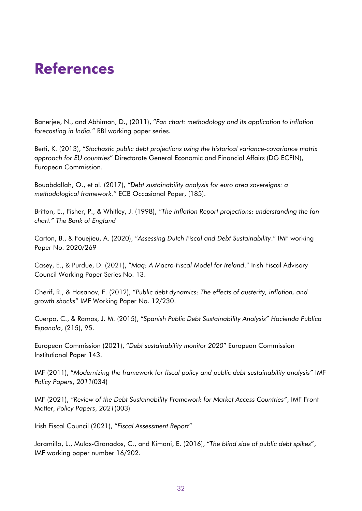# **References**

Banerjee, N., and Abhiman, D., (2011), "*Fan chart: methodology and its application to inflation forecasting in India."* RBI working paper series.

 *approach for EU countries*" Directorate General Economic and Financial Affairs (DG ECFIN), Berti, K. (2013), "*Stochastic public debt projections using the historical variance-covariance matrix*  European Commission.

Bouabdallah, O., et al. (2017), *"Debt sustainability analysis for euro area sovereigns: a methodological framework."* ECB Occasional Paper, (185).

Britton, E., Fisher, P., & Whitley, J. (1998), *"The Inflation Report projections: understanding the fan chart." The Bank of England* 

Carton, B., & Fouejieu, A. (2020), "*Assessing Dutch Fiscal and Debt Sustainability*." IMF working Paper No. 2020/269

Casey, E., & Purdue, D. (2021), "*Maq: A Macro-Fiscal Model for Ireland*." Irish Fiscal Advisory Council Working Paper Series No. 13.

Cherif, R., & Hasanov, F. (2012), "*Public debt dynamics: The effects of austerity, inflation, and growth shocks*" IMF Working Paper No. 12/230.

Cuerpo, C., & Ramos, J. M. (2015), "*Spanish Public Debt Sustainability Analysis" Hacienda Publica Espanola*, (215), 95.

European Commission (2021), "*Debt sustainability monitor 2020*" European Commission Institutional Paper 143.

IMF (2011), "*Modernizing the framework for fiscal policy and public debt sustainability analysis"* IMF *Policy Papers*, *2011*(034)

IMF (2021), *"Review of the Debt Sustainability Framework for Market Access Countries"*, IMF Front Matter, *Policy Papers*, *2021*(003)

Irish Fiscal Council (2021), "*Fiscal Assessment Report"*

Jaramillo, L., Mulas-Granados, C., and Kimani, E. (2016), "*The blind side of public debt spikes*", IMF working paper number 16/202.